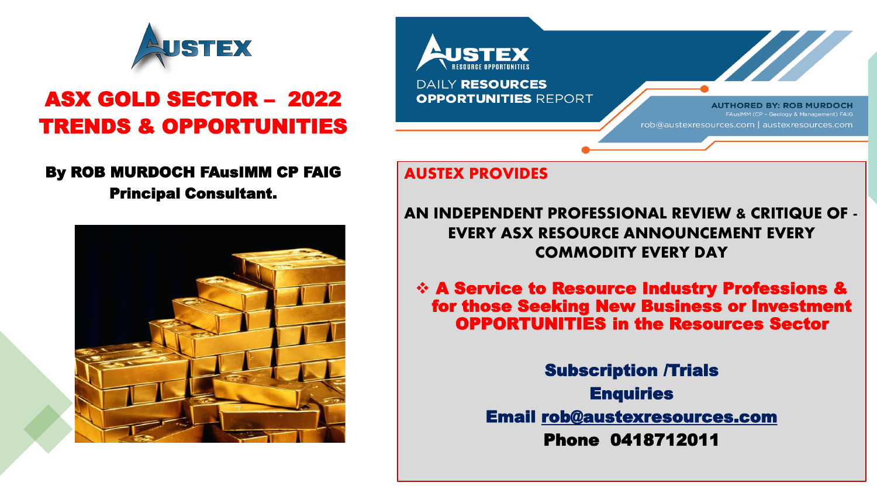

## ASX GOLD SECTOR – 2022 TRENDS & OPPORTUNITIES

## By ROB MURDOCH FAusIMM CP FAIG

Principal Consultant.



**DAILY RESOURCES OPPORTUNITIES REPORT AUTHORED BY: ROB MURDOCH** AusIMM (CP - Geology & Management) FAIG rob@austexresources.com | austexresources.com

## **AUSTEX PROVIDES**

**AN INDEPENDENT PROFESSIONAL REVIEW & CRITIQUE OF - EVERY ASX RESOURCE ANNOUNCEMENT EVERY COMMODITY EVERY DAY**

❖ A Service to Resource Industry Professions & for those Seeking New Business or Investment OPPORTUNITIES in the Resources Sector

> Subscription /Trials **Enquiries** Email [rob@austexresources.com](mailto:rob@austexresources.com) Phone 0418712011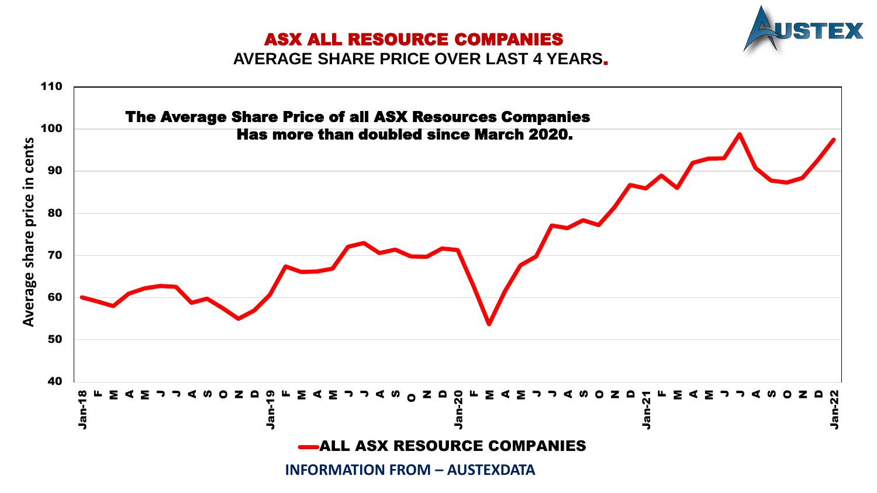## ASX ALL RESOURCE COMPANIES



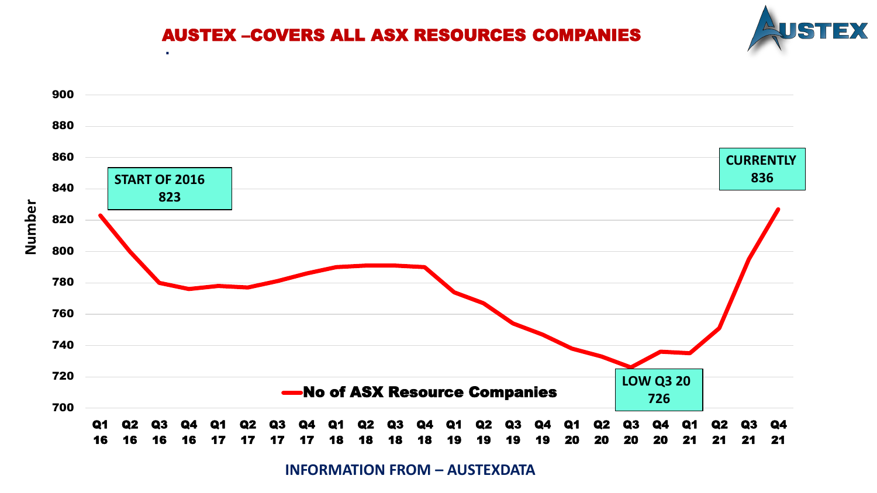

## AUSTEX –COVERS ALL ASX RESOURCES COMPANIES

**.** 



**INFORMATION FROM – AUSTEXDATA**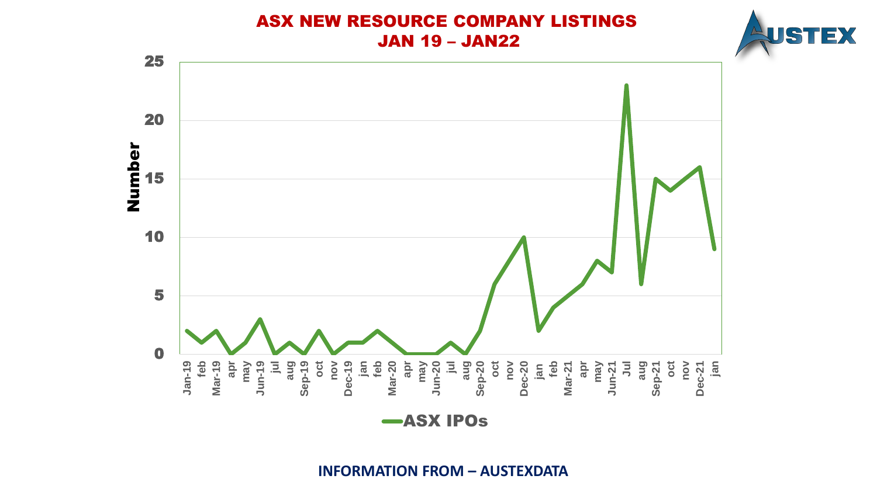## ASX NEW RESOURCE COMPANY LISTINGS JAN 19 – JAN22





ASX IPOs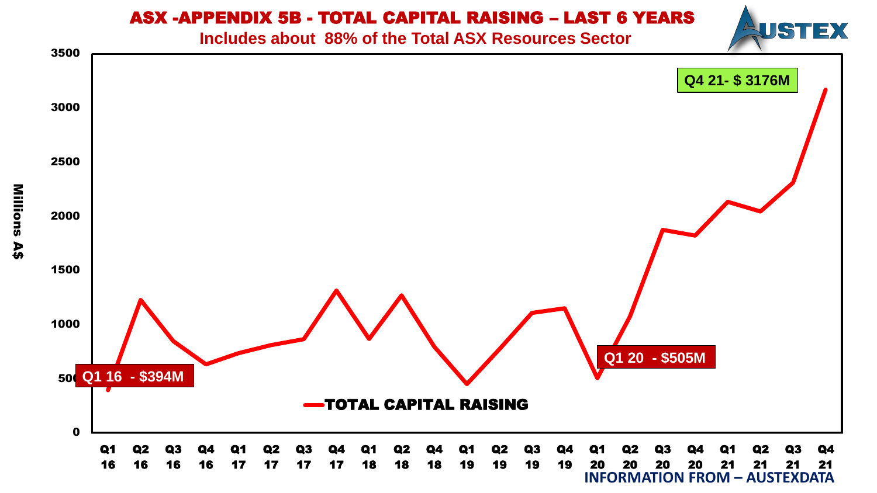## ASX -APPENDIX 5B - TOTAL CAPITAL RAISING – LAST 6 YEARS

**Includes about 88% of the Total ASX Resources Sector** 

USTEX

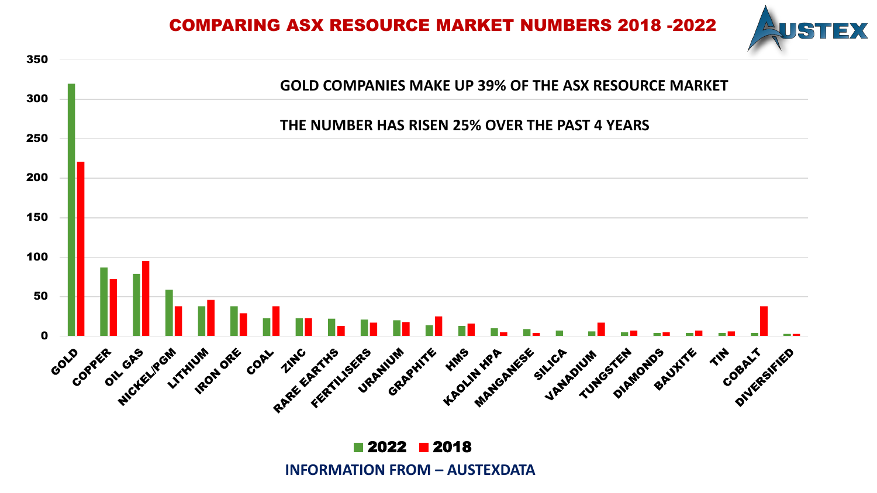COMPARING ASX RESOURCE MARKET NUMBERS 2018 -2022





2018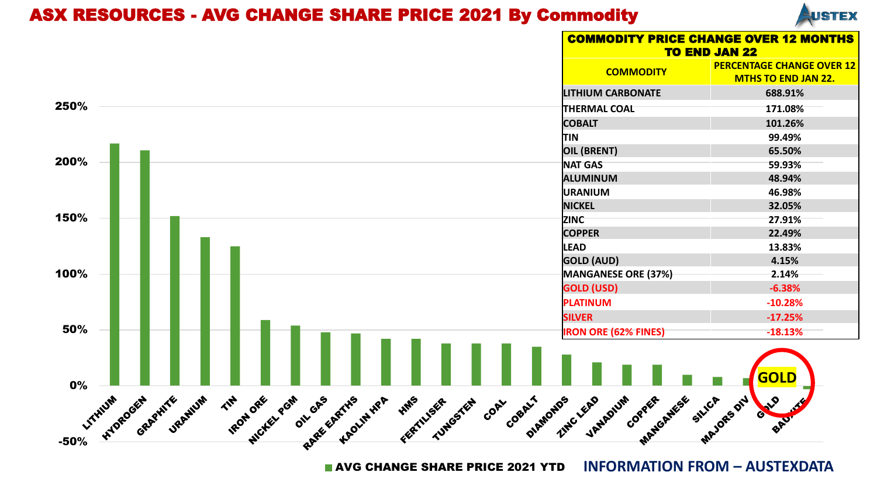## ASX RESOURCES - AVG CHANGE SHARE PRICE 2021 By Commodity



|      |                                        |           |                                                          |  |                 |                           | <b>COMMODITY PRICE CHANGE OVER 12 MONTHS</b><br><b>TO END JAN 22</b> |                                                                |  |  |
|------|----------------------------------------|-----------|----------------------------------------------------------|--|-----------------|---------------------------|----------------------------------------------------------------------|----------------------------------------------------------------|--|--|
|      |                                        |           |                                                          |  |                 |                           | <b>COMMODITY</b>                                                     | <b>PERCENTAGE CHANGE OVER 12</b><br><b>MTHS TO END JAN 22.</b> |  |  |
|      |                                        |           |                                                          |  |                 |                           | <b>LITHIUM CARBONATE</b>                                             | 688.91%                                                        |  |  |
| 250% |                                        |           |                                                          |  |                 |                           | <b>THERMAL COAL</b>                                                  | 171.08%                                                        |  |  |
|      |                                        |           |                                                          |  |                 |                           | <b>COBALT</b>                                                        | 101.26%                                                        |  |  |
|      |                                        |           |                                                          |  |                 |                           | <b>TIN</b>                                                           | 99.49%                                                         |  |  |
|      |                                        |           |                                                          |  |                 |                           | <b>OIL (BRENT)</b>                                                   | 65.50%                                                         |  |  |
| 200% |                                        |           |                                                          |  |                 |                           | <b>NAT GAS</b>                                                       | 59.93%                                                         |  |  |
|      |                                        |           |                                                          |  |                 |                           | <b>ALUMINUM</b>                                                      | 48.94%                                                         |  |  |
|      |                                        |           |                                                          |  |                 |                           | <b>URANIUM</b>                                                       | 46.98%                                                         |  |  |
|      |                                        |           |                                                          |  |                 |                           | <b>NICKEL</b>                                                        | 32.05%                                                         |  |  |
| 150% |                                        |           |                                                          |  |                 |                           | ZINC                                                                 | 27.91%                                                         |  |  |
|      |                                        |           |                                                          |  |                 |                           | <b>COPPER</b>                                                        | 22.49%                                                         |  |  |
|      |                                        |           |                                                          |  |                 |                           | <b>LEAD</b>                                                          | 13.83%                                                         |  |  |
|      |                                        |           |                                                          |  |                 |                           | <b>GOLD (AUD)</b>                                                    | 4.15%                                                          |  |  |
| 100% |                                        |           |                                                          |  |                 |                           | MANGANESE ORE (37%)                                                  | 2.14%                                                          |  |  |
|      |                                        |           |                                                          |  |                 |                           | <b>GOLD (USD)</b>                                                    | $-6.38%$                                                       |  |  |
|      |                                        |           |                                                          |  |                 |                           | <b>PLATINUM</b>                                                      | $-10.28%$                                                      |  |  |
|      |                                        |           |                                                          |  |                 |                           | <b>SILVER</b>                                                        | $-17.25%$                                                      |  |  |
| 50%  |                                        |           |                                                          |  |                 |                           | <b>IRON ORE (62% FINES)</b>                                          | $-18.13%$                                                      |  |  |
| 0%   | GRAPHITE URANUM<br>-50% - HYVIA OROGEN | $4\sigma$ | <b>TRON OFFE</b><br><b>WCYEL PGM</b><br>ot GAS HATHS HPP |  | FMS TUSER GETER | Coent Montos LEAD<br>CORL | <b>MANGANESE</b><br>VANDOLUM<br>Copper                               | <b>GOLD</b><br>SILICA ON A<br>GALO<br>ERU.                     |  |  |

**AVG CHANGE SHARE PRICE 2021 YTD INFORMATION FROM – AUSTEXDATA**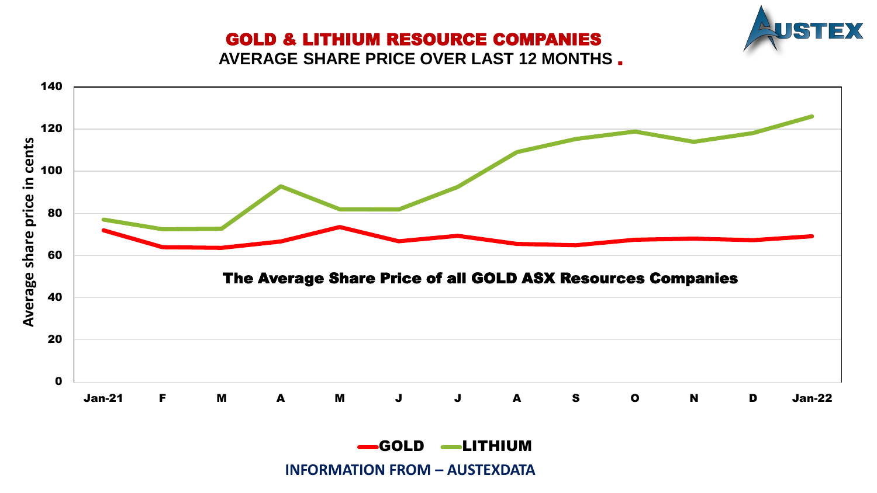# EX

## GOLD & LITHIUM RESOURCE COMPANIES

**AVERAGE SHARE PRICE OVER LAST 12 MONTHS** .

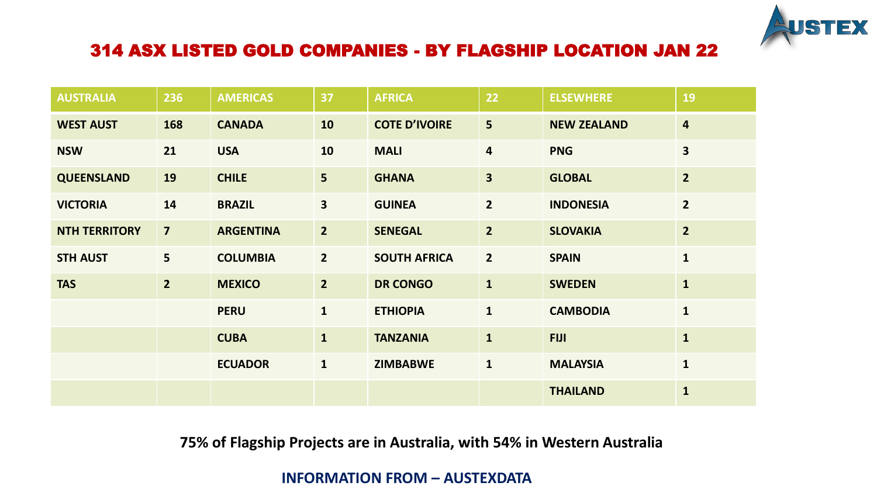

## 314 ASX LISTED GOLD COMPANIES - BY FLAGSHIP LOCATION JAN 22

| <b>AUSTRALIA</b>     | 236                     | <b>AMERICAS</b>  | 37                      | <b>AFRICA</b>        | 22                      | <b>ELSEWHERE</b>   | 19                      |
|----------------------|-------------------------|------------------|-------------------------|----------------------|-------------------------|--------------------|-------------------------|
| <b>WEST AUST</b>     | 168                     | <b>CANADA</b>    | 10                      | <b>COTE D'IVOIRE</b> | 5                       | <b>NEW ZEALAND</b> | $\overline{\mathbf{4}}$ |
| <b>NSW</b>           | 21                      | <b>USA</b>       | 10                      | <b>MALI</b>          | $\overline{\mathbf{4}}$ | <b>PNG</b>         | $\overline{\mathbf{3}}$ |
| <b>QUEENSLAND</b>    | 19                      | <b>CHILE</b>     | 5 <sup>5</sup>          | <b>GHANA</b>         | $\overline{\mathbf{3}}$ | <b>GLOBAL</b>      | $\overline{2}$          |
| <b>VICTORIA</b>      | 14                      | <b>BRAZIL</b>    | $\overline{\mathbf{3}}$ | <b>GUINEA</b>        | $\overline{2}$          | <b>INDONESIA</b>   | $\overline{2}$          |
| <b>NTH TERRITORY</b> | $\overline{\mathbf{z}}$ | <b>ARGENTINA</b> | 2 <sup>2</sup>          | <b>SENEGAL</b>       | $\overline{2}$          | <b>SLOVAKIA</b>    | $\overline{2}$          |
| <b>STH AUST</b>      | 5 <sup>5</sup>          | <b>COLUMBIA</b>  | $2^{\circ}$             | <b>SOUTH AFRICA</b>  | $\overline{2}$          | <b>SPAIN</b>       | $\mathbf{1}$            |
| <b>TAS</b>           | $\overline{2}$          | <b>MEXICO</b>    | 2 <sup>1</sup>          | <b>DR CONGO</b>      | $\mathbf{1}$            | <b>SWEDEN</b>      | $\mathbf{1}$            |
|                      |                         | <b>PERU</b>      | $\mathbf{1}$            | <b>ETHIOPIA</b>      | $\mathbf{1}$            | <b>CAMBODIA</b>    | $\mathbf{1}$            |
|                      |                         | <b>CUBA</b>      | $\mathbf{1}$            | <b>TANZANIA</b>      | $\mathbf{1}$            | <b>FIJI</b>        | $\mathbf{1}$            |
|                      |                         | <b>ECUADOR</b>   | $\mathbf{1}$            | <b>ZIMBABWE</b>      | $\mathbf{1}$            | <b>MALAYSIA</b>    | $\mathbf{1}$            |
|                      |                         |                  |                         |                      |                         | <b>THAILAND</b>    | $\mathbf{1}$            |

## **75% of Flagship Projects are in Australia, with 54% in Western Australia**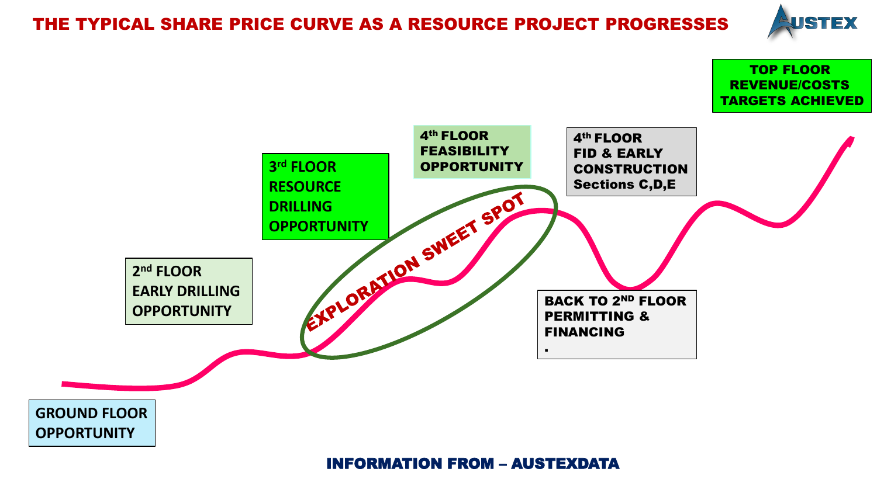## THE TYPICAL SHARE PRICE CURVE AS A RESOURCE PROJECT PROGRESSES



TOP FLOOR

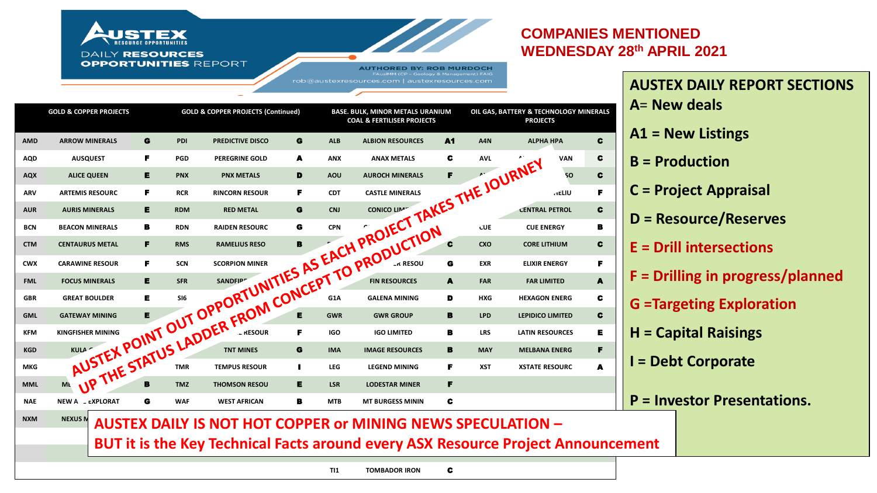#### **COMPANIES MENTIONED** UST **WEDNESDAY 28th APRIL 2021 DAILY RESOURCES OPPORTUNITIES REPORT AUTHORED BY: ROB MURDOCH** rob@austexresources.com | austexresources.com **AUSTEX DAILY REPORT SECTIONS A**= **New deals OIL GAS, BATTERY & TECHNOLOGY MINERALS GOLD & COPPER PROJECTS GOLD & COPPER PROJECTS (Continued) BASE. BULK, MINOR METALS URANIUM COAL & FERTILISER PROJECTS PROJECTS A1 = New Listings AMD ARROW MINERALS** G **PDI PREDICTIVE DISCO** G **ALB ALBION RESOURCES** A1 **A4N ALPHA HPA** C **AQD AUSQUEST** F **PGD PEREGRINE GOLD** A **ANX ANAX METALS** C **AVL AUSTRALIAN VAN** C **B = Production**  AQX ALICE QUEEN **E** PNX PNX METALS **D** AOU AUROCH MINERALS **F ANTIFUREM** SO **C C = Project Appraisal ARV ARTEMIS RESOURC F** RCR RINCORN RESOUR F CDT CASTLE MINERALS **GALLE BUTCH STAR HELIU F** AUR**IS MINERALS E** RDM RED METAL G CNJ CONICO LIMITION CONTRAL PETROL C NATE NEW A LEXPLORAT C WAF WEST AFRICAN B MTB MTBURGESS MINING **FROM** CHALITY TO PRODUCTION C<br>
NAME NEW A LEXPLORAT C WAF WEST AFRICAN B MTB MTBURGESS MINING **F**<br>
NAME NEW A LEXPLORAT C WAF WEST AFRICAN B MTB MTBURGESS MIN **D = Resource/Reserves BCN** BEACON MINERALS **B** RDN RAIDEN RESOURC **G** CPN C<sub>AN</sub>N RAIDEN RESOURCE RESOURCE RESOURCE RESOURCE RESOURCE RESOURCE RESOURCE RESOURCE RESOURCE RESOURCE RESOURCE RESOURCE RESOURCE RESOURCE RESOURCE RESOURCE RESOURCE RE **CTM CENTAURUS METAL** F **RMS RAMELIUS RESO** B **DKM DUKETON MINING** C **CXO CORE LITHIUM** C **E = Drill intersections CWX** CARAWINE RESOUR F SCN SCORPION MINER GO CONTROL G EXR ELIXIR ENERGY F **F = Drilling in progress/planned**  FINL FOCUS MINERALS **E** SFR SANDFIPE AN IN POLICES A FARRESOURCES A FARRESOURCES A **FARRESOURCES** GBR GREAT BOULDER **E** SI6 **SIGNALS FOR SIGNALS GALENA MINING** D HXG HEXAGON ENERG C **G =Targeting Exploration GML GATEWAY MINING E TO SANTANA E GWR** GWR GROUP B LPD LEPIDICO LIMITED C

- **H = Capital Raisings**
- **I = Debt Corporate**
- **P = Investor Presentations.**

**NXM MEXUS N** AUSTEX DAILY IS NOT HOT COPPER or MINING NEWS SPECULATION –

**KFM** KINGFISHER MINING **ANTILUS AND SUREFIRE SURFIRE SURFIRE SURFIRE SURFIRE SURFIRE SURFIRE SURFIRE SURFIRE SURFIRE SURFIRE SURFIRE SURFIRE SURFIRE SURFIRE SURFIRE SURFIRE SURFIRE SURFIRE SURFIRE SURFIRE SURFIRE SURFIRE KGD KULA GOLDON FOR GOLD FOR TINT MINES G** IMA IMAGE RESOURCES **B** MAY MELBANA ENERG **F MKG MAKO GOLDON E THE MAKE GOLDON I LEG LEGEND MINING F** XST **XSTATE RESOURC A** 

**MML MEDUSA MINITAGE B** TMZ THOMSON RESOU **E** LSR LODESTAR MINER **F** 

**BUT it is the Key Technical Facts around every ASX Resource Project Announcement SMR STANMORE COAL** B

**TI1 TOMBADOR IRON** C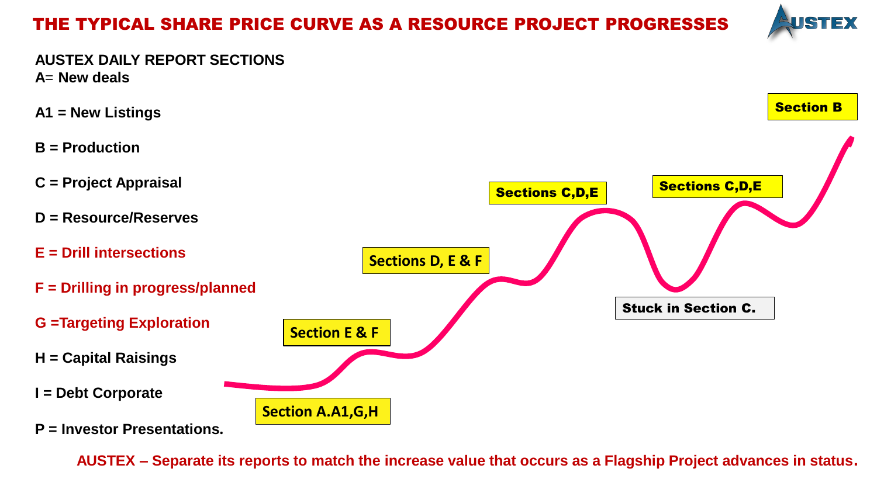## THE TYPICAL SHARE PRICE CURVE AS A RESOURCE PROJECT PROGRESSES



**AUSTEX DAILY REPORT SECTIONS A**= **New deals** 

Stuck in Section C. Section B Sections C,D,E **Section E & F Sections D, E & F Section A.A1,G,H**  Sections C,D,E **A1 = New Listings B = Production C = Project Appraisal D = Resource/Reserves E = Drill intersections F = Drilling in progress/planned G =Targeting Exploration H = Capital Raisings I = Debt Corporate P = Investor Presentations.** 

**AUSTEX – Separate its reports to match the increase value that occurs as a Flagship Project advances in status.**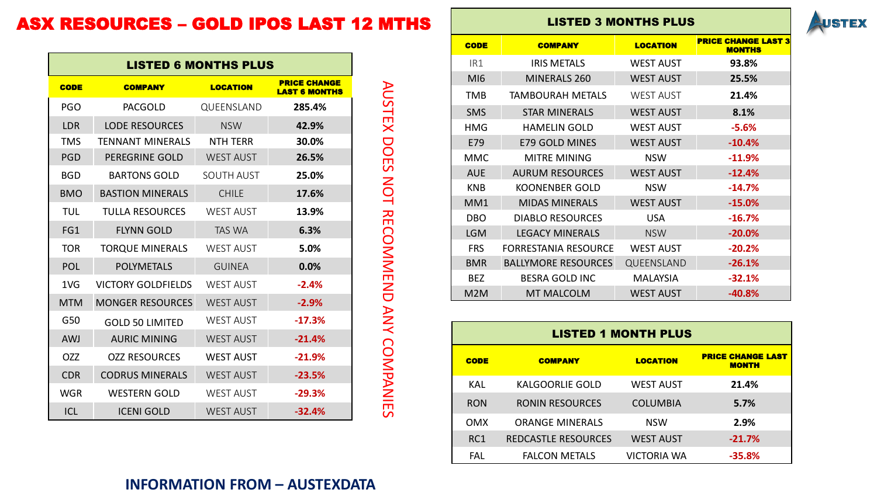## ASX RESOURCES – GOLD IPOS LAST 12 MTHS

| <b>LISTED 6 MONTHS PLUS</b> |                         |                  |                                             |  |  |  |  |  |  |  |
|-----------------------------|-------------------------|------------------|---------------------------------------------|--|--|--|--|--|--|--|
| CODE                        | <b>COMPANY</b>          | <b>LOCATION</b>  | <b>PRICE CHANGE</b><br><b>LAST 6 MONTHS</b> |  |  |  |  |  |  |  |
| <b>PGO</b>                  | <b>PACGOLD</b>          | QUEENSLAND       | 285.4%                                      |  |  |  |  |  |  |  |
| <b>LDR</b>                  | <b>LODE RESOURCES</b>   | <b>NSW</b>       | 42.9%                                       |  |  |  |  |  |  |  |
| <b>TMS</b>                  | <b>TENNANT MINERALS</b> | <b>NTH TERR</b>  | 30.0%                                       |  |  |  |  |  |  |  |
| <b>PGD</b>                  | <b>PEREGRINE GOLD</b>   | <b>WEST AUST</b> | 26.5%                                       |  |  |  |  |  |  |  |
| <b>BGD</b>                  | <b>BARTONS GOLD</b>     | SOUTH AUST       | 25.0%                                       |  |  |  |  |  |  |  |
| <b>BMO</b>                  | <b>BASTION MINERALS</b> | <b>CHILE</b>     | 17.6%                                       |  |  |  |  |  |  |  |
| TUL                         | <b>TULLA RESOURCES</b>  | <b>WEST AUST</b> | 13.9%                                       |  |  |  |  |  |  |  |
| FG1                         | <b>FLYNN GOLD</b>       | <b>TAS WA</b>    | 6.3%                                        |  |  |  |  |  |  |  |
| <b>TOR</b>                  | <b>TORQUE MINERALS</b>  | <b>WEST AUST</b> | 5.0%                                        |  |  |  |  |  |  |  |
| <b>POL</b>                  | <b>POLYMETALS</b>       | <b>GUINEA</b>    | 0.0%                                        |  |  |  |  |  |  |  |
| 1 <sub>V</sub>              | VICTORY GOLDFIELDS      | <b>WEST AUST</b> | $-2.4%$                                     |  |  |  |  |  |  |  |
| <b>MTM</b>                  | <b>MONGER RESOURCES</b> | <b>WEST AUST</b> | $-2.9%$                                     |  |  |  |  |  |  |  |
| G50                         | <b>GOLD 50 LIMITED</b>  | <b>WEST AUST</b> | $-17.3%$                                    |  |  |  |  |  |  |  |
| <b>AWJ</b>                  | <b>AURIC MINING</b>     | <b>WEST AUST</b> | $-21.4%$                                    |  |  |  |  |  |  |  |
| <b>OZZ</b>                  | <b>OZZ RESOURCES</b>    | <b>WEST AUST</b> | $-21.9%$                                    |  |  |  |  |  |  |  |
| <b>CDR</b>                  | <b>CODRUS MINERALS</b>  | <b>WEST AUST</b> | $-23.5%$                                    |  |  |  |  |  |  |  |
| WGR                         | <b>WESTERN GOLD</b>     | <b>WEST AUST</b> | $-29.3%$                                    |  |  |  |  |  |  |  |
| ICL                         | <b>ICENI GOLD</b>       | <b>WEST AUST</b> | $-32.4%$                                    |  |  |  |  |  |  |  |

AUSTEX DOES NOT RECOMMEND ANY COMPANIES AUSTEX DOES NOT RECOMMEND ANY COMPANIES

#### LISTED 3 MONTHS PLUS



| <b>CODE</b>      | <b>COMPANY</b>              | <b>LOCATION</b>  | <b>PRICE CHANGE LAST 3</b><br><b>MONTHS</b> |
|------------------|-----------------------------|------------------|---------------------------------------------|
| IR1              | <b>IRIS METALS</b>          | <b>WEST AUST</b> | 93.8%                                       |
| MI <sub>6</sub>  | MINERALS 260                | <b>WEST AUST</b> | 25.5%                                       |
| TMB              | TAMBOURAH METALS            | <b>WEST AUST</b> | 21.4%                                       |
| <b>SMS</b>       | <b>STAR MINERALS</b>        | <b>WEST AUST</b> | 8.1%                                        |
| HMG              | <b>HAMELIN GOLD</b>         | WEST AUST        | $-5.6%$                                     |
| E79              | <b>E79 GOLD MINES</b>       | <b>WEST AUST</b> | $-10.4%$                                    |
| <b>MMC</b>       | <b>MITRE MINING</b>         | <b>NSW</b>       | $-11.9%$                                    |
| <b>AUE</b>       | <b>AURUM RESOURCES</b>      | <b>WEST AUST</b> | $-12.4%$                                    |
| <b>KNB</b>       | <b>KOONENBER GOLD</b>       | <b>NSW</b>       | $-14.7%$                                    |
| MM <sub>1</sub>  | <b>MIDAS MINERALS</b>       | <b>WEST AUST</b> | $-15.0%$                                    |
| <b>DBO</b>       | <b>DIABLO RESOURCES</b>     | <b>USA</b>       | $-16.7%$                                    |
| <b>LGM</b>       | <b>LEGACY MINERALS</b>      | <b>NSW</b>       | $-20.0%$                                    |
| <b>FRS</b>       | <b>FORRESTANIA RESOURCE</b> | <b>WEST AUST</b> | $-20.2%$                                    |
| <b>BMR</b>       | <b>BALLYMORE RESOURCES</b>  | QUEENSLAND       | $-26.1%$                                    |
| <b>BEZ</b>       | <b>BESRA GOLD INC</b>       | <b>MALAYSIA</b>  | $-32.1%$                                    |
| M <sub>2</sub> M | <b>MT MALCOLM</b>           | <b>WEST AUST</b> | $-40.8%$                                    |

| <b>LISTED 1 MONTH PLUS</b> |                            |                                          |          |  |  |  |  |  |  |  |  |
|----------------------------|----------------------------|------------------------------------------|----------|--|--|--|--|--|--|--|--|
| <b>CODE</b>                | <b>COMPANY</b>             | <b>PRICE CHANGE LAST</b><br><b>MONTH</b> |          |  |  |  |  |  |  |  |  |
| KAL                        | <b>KALGOORLIE GOLD</b>     | <b>WEST AUST</b>                         | 21.4%    |  |  |  |  |  |  |  |  |
| <b>RON</b>                 | <b>RONIN RESOURCES</b>     | <b>COLUMBIA</b>                          | 5.7%     |  |  |  |  |  |  |  |  |
| <b>OMX</b>                 | <b>ORANGE MINERALS</b>     | <b>NSW</b>                               | 2.9%     |  |  |  |  |  |  |  |  |
| RC <sub>1</sub>            | <b>REDCASTLE RESOURCES</b> | <b>WEST AUST</b>                         | $-21.7%$ |  |  |  |  |  |  |  |  |
| FAL                        | <b>FALCON METALS</b>       | VICTORIA WA                              | $-35.8%$ |  |  |  |  |  |  |  |  |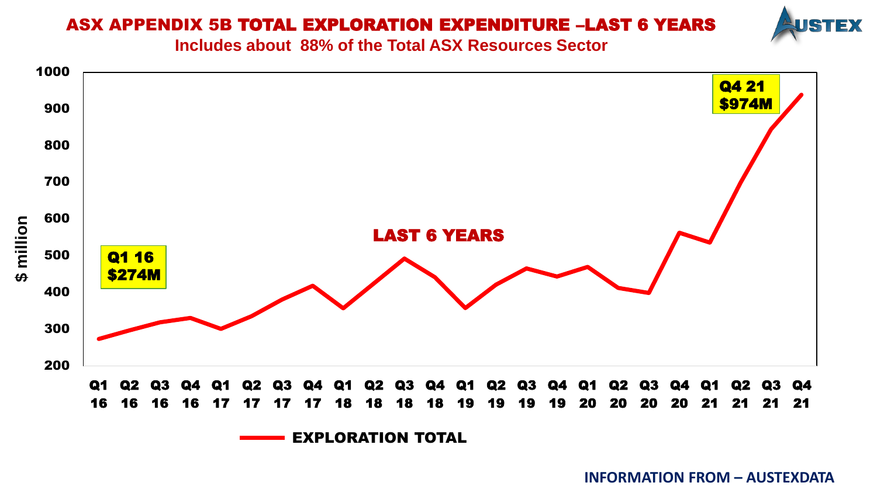## ASX APPENDIX 5B TOTAL EXPLORATION EXPENDITURE –LAST 6 YEARS



**Includes about 88% of the Total ASX Resources Sector** 

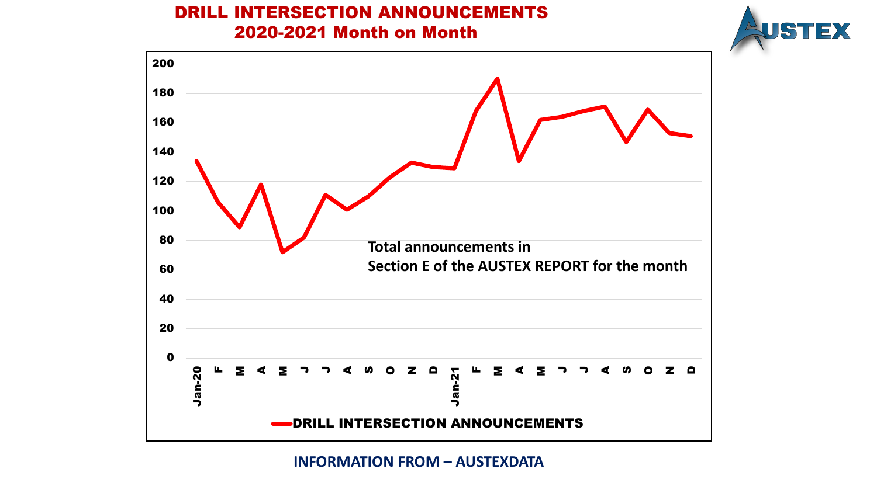## DRILL INTERSECTION ANNOUNCEMENTS 2020-2021 Month on Month



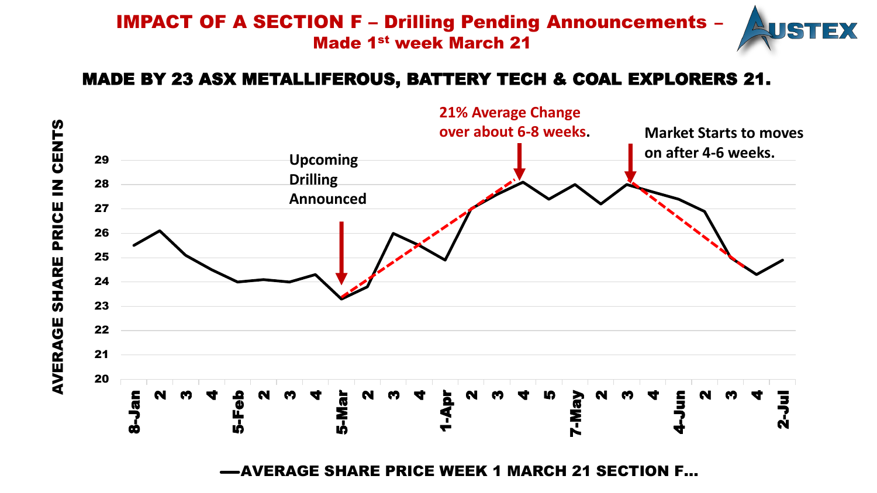## IMPACT OF A SECTION F – Drilling Pending Announcements – Made 1st week March 21



## MADE BY 23 ASX METALLIFEROUS, BATTERY TECH & COAL EXPLORERS 21.



AVERAGE SHARE PRICE WEEK 1 MARCH 21 SECTION F…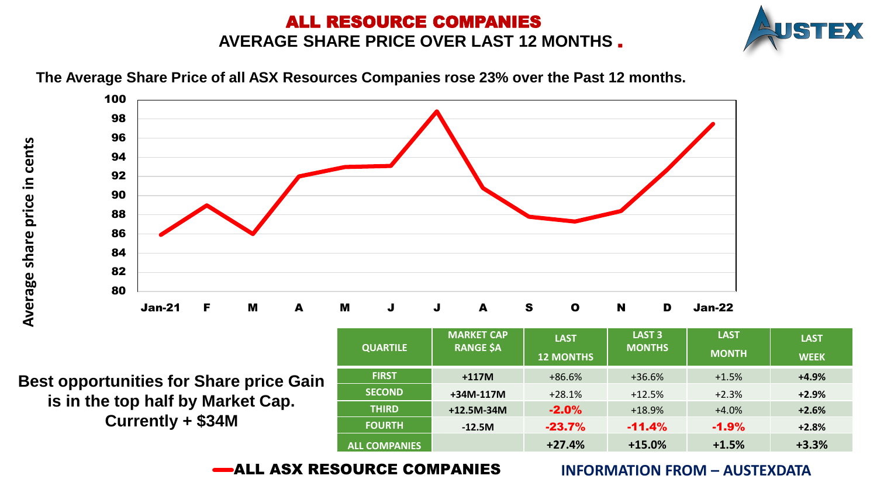## ALL RESOURCE COMPANIES **AVERAGE SHARE PRICE OVER LAST 12 MONTHS** .





**The Average Share Price of all ASX Resources Companies rose 23% over the Past 12 months.** 

**Best opportunities for Share price Gain is in the top half by Market Cap. Currently + \$34M** 

| <b>QUARTILE</b>      | <b>MARKET CAP</b><br><b>RANGE \$A</b> | <b>LAST</b><br><b>12 MONTHS</b> | LAST <sub>3</sub><br><b>MONTHS</b> | <b>LAST</b><br><b>MONTH</b> | <b>LAST</b><br><b>WEEK</b> |
|----------------------|---------------------------------------|---------------------------------|------------------------------------|-----------------------------|----------------------------|
| <b>FIRST</b>         | $+117M$                               | $+86.6%$                        | $+36.6%$                           | $+1.5%$                     | $+4.9%$                    |
| <b>SECOND</b>        | $+34M-117M$                           | $+28.1%$                        | $+12.5%$                           | $+2.3%$                     | $+2.9%$                    |
| <b>THIRD</b>         | +12.5M-34M                            | $-2.0%$                         | $+18.9%$                           | $+4.0%$                     | $+2.6%$                    |
| <b>FOURTH</b>        | $-12.5M$                              | $-23.7%$                        | $-11.4%$                           | $-1.9%$                     | $+2.8%$                    |
| <b>ALL COMPANIES</b> |                                       | $+27.4%$                        | $+15.0%$                           | $+1.5%$                     | $+3.3%$                    |

ALL ASX RESOURCE COMPANIES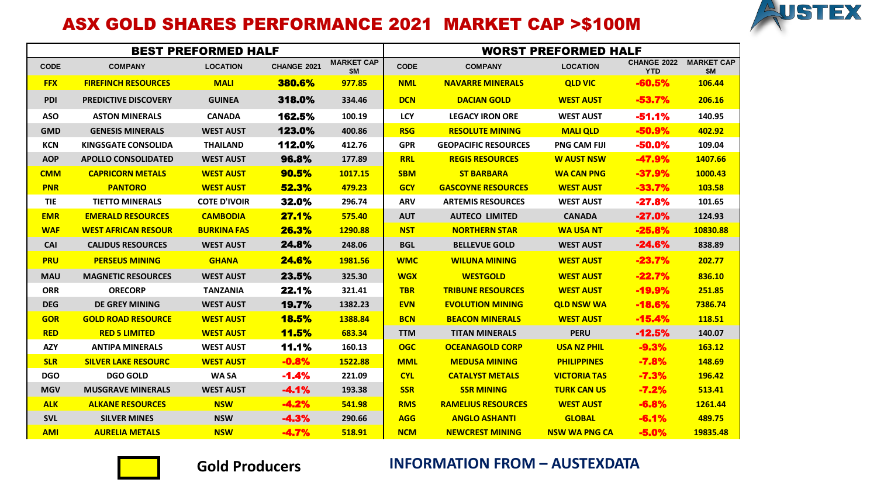

## ASX GOLD SHARES PERFORMANCE 2021 MARKET CAP >\$100M

|             |                             | <b>BEST PREFORMED HALF</b> |              |                                 | <b>WORST PREFORMED HALF</b> |                             |                      |                           |                                 |  |
|-------------|-----------------------------|----------------------------|--------------|---------------------------------|-----------------------------|-----------------------------|----------------------|---------------------------|---------------------------------|--|
| <b>CODE</b> | <b>COMPANY</b>              | <b>LOCATION</b>            | CHANGE 2021  | <b>MARKET CAP</b><br><b>\$M</b> | <b>CODE</b>                 | <b>COMPANY</b>              | <b>LOCATION</b>      | CHANGE 2022<br><b>YTD</b> | <b>MARKET CAP</b><br><b>\$M</b> |  |
| <b>FFX</b>  | <b>FIREFINCH RESOURCES</b>  | <b>MALI</b>                | 380.6%       | 977.85                          | <b>NML</b>                  | <b>NAVARRE MINERALS</b>     | <b>QLD VIC</b>       | $-60.5%$                  | 106.44                          |  |
| <b>PDI</b>  | <b>PREDICTIVE DISCOVERY</b> | <b>GUINEA</b>              | 318.0%       | 334.46                          | <b>DCN</b>                  | <b>DACIAN GOLD</b>          | <b>WEST AUST</b>     | $-53.7%$                  | 206.16                          |  |
| <b>ASO</b>  | <b>ASTON MINERALS</b>       | <b>CANADA</b>              | 162.5%       | 100.19                          | <b>LCY</b>                  | <b>LEGACY IRON ORE</b>      | <b>WEST AUST</b>     | $-51.1%$                  | 140.95                          |  |
| <b>GMD</b>  | <b>GENESIS MINERALS</b>     | <b>WEST AUST</b>           | 123.0%       | 400.86                          | <b>RSG</b>                  | <b>RESOLUTE MINING</b>      | <b>MALIQLD</b>       | $-50.9%$                  | 402.92                          |  |
| KCN         | <b>KINGSGATE CONSOLIDA</b>  | <b>THAILAND</b>            | 112.0%       | 412.76                          | <b>GPR</b>                  | <b>GEOPACIFIC RESOURCES</b> | <b>PNG CAM FIJI</b>  | $-50.0%$                  | 109.04                          |  |
| <b>AOP</b>  | <b>APOLLO CONSOLIDATED</b>  | <b>WEST AUST</b>           | 96.8%        | 177.89                          | <b>RRL</b>                  | <b>REGIS RESOURCES</b>      | <b>W AUST NSW</b>    | $-47.9%$                  | 1407.66                         |  |
| <b>CMM</b>  | <b>CAPRICORN METALS</b>     | <b>WEST AUST</b>           | 90.5%        | 1017.15                         | <b>SBM</b>                  | <b>ST BARBARA</b>           | <b>WA CAN PNG</b>    | $-37.9%$                  | 1000.43                         |  |
| <b>PNR</b>  | <b>PANTORO</b>              | <b>WEST AUST</b>           | 52.3%        | 479.23                          | <b>GCY</b>                  | <b>GASCOYNE RESOURCES</b>   | <b>WEST AUST</b>     | $-33.7%$                  | 103.58                          |  |
| <b>TIE</b>  | <b>TIETTO MINERALS</b>      | <b>COTE D'IVOIR</b>        | 32.0%        | 296.74                          | <b>ARV</b>                  | <b>ARTEMIS RESOURCES</b>    | <b>WEST AUST</b>     | $-27.8%$                  | 101.65                          |  |
| <b>EMR</b>  | <b>EMERALD RESOURCES</b>    | <b>CAMBODIA</b>            | 27.1%        | 575.40                          | <b>AUT</b>                  | <b>AUTECO LIMITED</b>       | <b>CANADA</b>        | $-27.0%$                  | 124.93                          |  |
| <b>WAF</b>  | <b>WEST AFRICAN RESOUR</b>  | <b>BURKINA FAS</b>         | 26.3%        | 1290.88                         | <b>NST</b>                  | <b>NORTHERN STAR</b>        | <b>WA USA NT</b>     | $-25.8%$                  | 10830.88                        |  |
| <b>CAI</b>  | <b>CALIDUS RESOURCES</b>    | <b>WEST AUST</b>           | 24.8%        | 248.06                          | <b>BGL</b>                  | <b>BELLEVUE GOLD</b>        | <b>WEST AUST</b>     | $-24.6%$                  | 838.89                          |  |
| <b>PRU</b>  | <b>PERSEUS MINING</b>       | <b>GHANA</b>               | <b>24.6%</b> | 1981.56                         | <b>WMC</b>                  | <b>WILUNA MINING</b>        | <b>WEST AUST</b>     | $-23.7%$                  | 202.77                          |  |
| <b>MAU</b>  | <b>MAGNETIC RESOURCES</b>   | <b>WEST AUST</b>           | 23.5%        | 325.30                          | <b>WGX</b>                  | <b>WESTGOLD</b>             | <b>WEST AUST</b>     | $-22.7%$                  | 836.10                          |  |
| <b>ORR</b>  | <b>ORECORP</b>              | <b>TANZANIA</b>            | 22.1%        | 321.41                          | <b>TBR</b>                  | <b>TRIBUNE RESOURCES</b>    | <b>WEST AUST</b>     | $-19.9%$                  | 251.85                          |  |
| <b>DEG</b>  | <b>DE GREY MINING</b>       | <b>WEST AUST</b>           | 19.7%        | 1382.23                         | <b>EVN</b>                  | <b>EVOLUTION MINING</b>     | <b>QLD NSW WA</b>    | $-18.6%$                  | 7386.74                         |  |
| <b>GOR</b>  | <b>GOLD ROAD RESOURCE</b>   | <b>WEST AUST</b>           | <b>18.5%</b> | 1388.84                         | <b>BCN</b>                  | <b>BEACON MINERALS</b>      | <b>WEST AUST</b>     | $-15.4%$                  | 118.51                          |  |
| <b>RED</b>  | <b>RED 5 LIMITED</b>        | <b>WEST AUST</b>           | <b>11.5%</b> | 683.34                          | <b>TTM</b>                  | <b>TITAN MINERALS</b>       | <b>PERU</b>          | $-12.5%$                  | 140.07                          |  |
| <b>AZY</b>  | <b>ANTIPA MINERALS</b>      | <b>WEST AUST</b>           | 11.1%        | 160.13                          | <b>OGC</b>                  | <b>OCEANAGOLD CORP</b>      | <b>USA NZ PHIL</b>   | $-9.3%$                   | 163.12                          |  |
| <b>SLR</b>  | <b>SILVER LAKE RESOURC</b>  | <b>WEST AUST</b>           | $-0.8%$      | 1522.88                         | <b>MML</b>                  | <b>MEDUSA MINING</b>        | <b>PHILIPPINES</b>   | $-7.8%$                   | 148.69                          |  |
| <b>DGO</b>  | <b>DGO GOLD</b>             | <b>WASA</b>                | $-1.4%$      | 221.09                          | <b>CYL</b>                  | <b>CATALYST METALS</b>      | <b>VICTORIA TAS</b>  | $-7.3%$                   | 196.42                          |  |
| <b>MGV</b>  | <b>MUSGRAVE MINERALS</b>    | <b>WEST AUST</b>           | $-4.1%$      | 193.38                          | <b>SSR</b>                  | <b>SSR MINING</b>           | <b>TURK CAN US</b>   | $-7.2%$                   | 513.41                          |  |
| <b>ALK</b>  | <b>ALKANE RESOURCES</b>     | <b>NSW</b>                 | $-4.2%$      | 541.98                          | <b>RMS</b>                  | <b>RAMELIUS RESOURCES</b>   | <b>WEST AUST</b>     | $-6.8%$                   | 1261.44                         |  |
| <b>SVL</b>  | <b>SILVER MINES</b>         | <b>NSW</b>                 | $-4.3%$      | 290.66                          | <b>AGG</b>                  | <b>ANGLO ASHANTI</b>        | <b>GLOBAL</b>        | $-6.1%$                   | 489.75                          |  |
| <b>AMI</b>  | <b>AURELIA METALS</b>       | <b>NSW</b>                 | $-4.7%$      | 518.91                          | <b>NCM</b>                  | <b>NEWCREST MINING</b>      | <b>NSW WA PNG CA</b> | $-5.0%$                   | 19835.48                        |  |



### Gold Producers **INFORMATION FROM - AUSTEXDATA**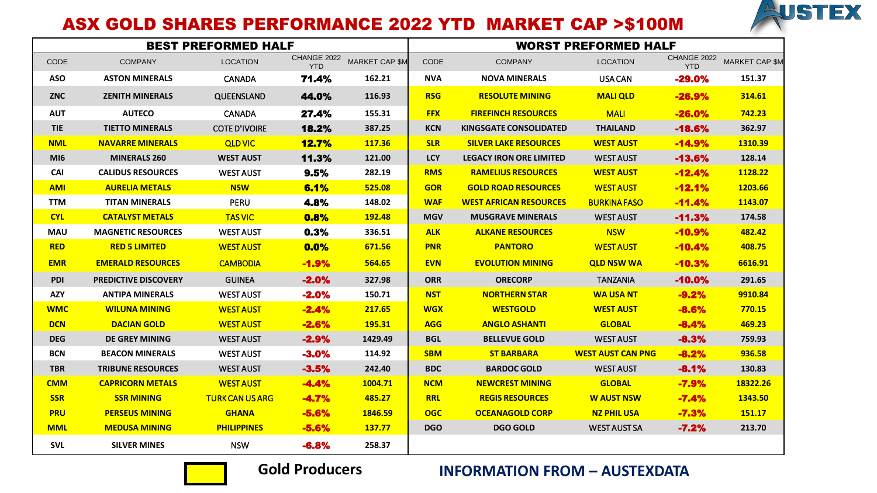

## ASX GOLD SHARES PERFORMANCE 2022 YTD MARKET CAP >\$100M

|                 |                             | <b>BEST PREFORMED HALF</b> |                           |                       | <b>WORST PREFORMED HALF</b> |                                |                          |                           |                       |  |
|-----------------|-----------------------------|----------------------------|---------------------------|-----------------------|-----------------------------|--------------------------------|--------------------------|---------------------------|-----------------------|--|
| <b>CODE</b>     | <b>COMPANY</b>              | <b>LOCATION</b>            | CHANGE 2022<br><b>YTD</b> | <b>MARKET CAP \$M</b> | <b>CODE</b>                 | <b>COMPANY</b>                 | <b>LOCATION</b>          | CHANGE 2022<br><b>YTD</b> | <b>MARKET CAP \$M</b> |  |
| <b>ASO</b>      | <b>ASTON MINERALS</b>       | <b>CANADA</b>              | 71.4%                     | 162.21                | <b>NVA</b>                  | <b>NOVA MINERALS</b>           | USA CAN                  | $-29.0%$                  | 151.37                |  |
| <b>ZNC</b>      | <b>ZENITH MINERALS</b>      | QUEENSLAND                 | 44.0%                     | 116.93                | <b>RSG</b>                  | <b>RESOLUTE MINING</b>         | <b>MALI OLD</b>          | $-26.9%$                  | 314.61                |  |
| <b>AUT</b>      | <b>AUTECO</b>               | <b>CANADA</b>              | 27.4%                     | 155.31                | <b>FFX</b>                  | <b>FIREFINCH RESOURCES</b>     | <b>MALI</b>              | $-26.0%$                  | 742.23                |  |
| <b>TIE</b>      | <b>TIETTO MINERALS</b>      | <b>COTE D'IVOIRE</b>       | 18.2%                     | 387.25                | <b>KCN</b>                  | <b>KINGSGATE CONSOLIDATED</b>  | <b>THAILAND</b>          | $-18.6%$                  | 362.97                |  |
| <b>NML</b>      | <b>NAVARRE MINERALS</b>     | <b>QLD VIC</b>             | <b>12.7%</b>              | 117.36                | <b>SLR</b>                  | <b>SILVER LAKE RESOURCES</b>   | <b>WEST AUST</b>         | $-14.9%$                  | 1310.39               |  |
| MI <sub>6</sub> | <b>MINERALS 260</b>         | <b>WEST AUST</b>           | 11.3%                     | 121.00                | <b>LCY</b>                  | <b>LEGACY IRON ORE LIMITED</b> | <b>WEST AUST</b>         | $-13.6%$                  | 128.14                |  |
| <b>CAI</b>      | <b>CALIDUS RESOURCES</b>    | <b>WEST AUST</b>           | 9.5%                      | 282.19                | <b>RMS</b>                  | <b>RAMELIUS RESOURCES</b>      | <b>WEST AUST</b>         | $-12.4%$                  | 1128.22               |  |
| <b>AMI</b>      | <b>AURELIA METALS</b>       | <b>NSW</b>                 | 6.1%                      | 525.08                | <b>GOR</b>                  | <b>GOLD ROAD RESOURCES</b>     | <b>WEST AUST</b>         | $-12.1%$                  | 1203.66               |  |
| <b>TTM</b>      | <b>TITAN MINERALS</b>       | PERU                       | 4.8%                      | 148.02                | <b>WAF</b>                  | <b>WEST AFRICAN RESOURCES</b>  | <b>BURKINA FASO</b>      | $-11.4%$                  | 1143.07               |  |
| <b>CYL</b>      | <b>CATALYST METALS</b>      | <b>TAS VIC</b>             | 0.8%                      | 192.48                | <b>MGV</b>                  | <b>MUSGRAVE MINERALS</b>       | <b>WEST AUST</b>         | $-11.3%$                  | 174.58                |  |
| <b>MAU</b>      | <b>MAGNETIC RESOURCES</b>   | <b>WEST AUST</b>           | 0.3%                      | 336.51                | <b>ALK</b>                  | <b>ALKANE RESOURCES</b>        | <b>NSW</b>               | $-10.9%$                  | 482.42                |  |
| <b>RED</b>      | <b>RED 5 LIMITED</b>        | <b>WEST AUST</b>           | 0.0%                      | 671.56                | <b>PNR</b>                  | <b>PANTORO</b>                 | <b>WEST AUST</b>         | $-10.4%$                  | 408.75                |  |
| <b>EMR</b>      | <b>EMERALD RESOURCES</b>    | <b>CAMBODIA</b>            | $-1.9%$                   | 564.65                | <b>EVN</b>                  | <b>EVOLUTION MINING</b>        | <b>QLD NSW WA</b>        | $-10.3%$                  | 6616.91               |  |
| <b>PDI</b>      | <b>PREDICTIVE DISCOVERY</b> | <b>GUINEA</b>              | $-2.0%$                   | 327.98                | <b>ORR</b>                  | <b>ORECORP</b>                 | <b>TANZANIA</b>          | $-10.0%$                  | 291.65                |  |
| <b>AZY</b>      | <b>ANTIPA MINERALS</b>      | <b>WEST AUST</b>           | $-2.0%$                   | 150.71                | <b>NST</b>                  | <b>NORTHERN STAR</b>           | <b>WA USA NT</b>         | $-9.2%$                   | 9910.84               |  |
| <b>WMC</b>      | <b>WILUNA MINING</b>        | <b>WEST AUST</b>           | $-2.4%$                   | 217.65                | <b>WGX</b>                  | <b>WESTGOLD</b>                | <b>WEST AUST</b>         | $-8.6%$                   | 770.15                |  |
| <b>DCN</b>      | <b>DACIAN GOLD</b>          | <b>WEST AUST</b>           | $-2.6%$                   | 195.31                | <b>AGG</b>                  | <b>ANGLO ASHANTI</b>           | <b>GLOBAL</b>            | $-8.4%$                   | 469.23                |  |
| <b>DEG</b>      | <b>DE GREY MINING</b>       | <b>WEST AUST</b>           | $-2.9%$                   | 1429.49               | <b>BGL</b>                  | <b>BELLEVUE GOLD</b>           | <b>WEST AUST</b>         | $-8.3%$                   | 759.93                |  |
| <b>BCN</b>      | <b>BEACON MINERALS</b>      | <b>WEST AUST</b>           | $-3.0%$                   | 114.92                | <b>SBM</b>                  | <b>ST BARBARA</b>              | <b>WEST AUST CAN PNG</b> | $-8.2%$                   | 936.58                |  |
| <b>TBR</b>      | <b>TRIBUNE RESOURCES</b>    | <b>WEST AUST</b>           | $-3.5%$                   | 242.40                | <b>BDC</b>                  | <b>BARDOC GOLD</b>             | <b>WEST AUST</b>         | $-8.1%$                   | 130.83                |  |
| <b>CMM</b>      | <b>CAPRICORN METALS</b>     | <b>WEST AUST</b>           | $-4.4%$                   | 1004.71               | <b>NCM</b>                  | <b>NEWCREST MINING</b>         | <b>GLOBAL</b>            | $-7.9%$                   | 18322.26              |  |
| <b>SSR</b>      | <b>SSR MINING</b>           | <b>TURK CAN US ARG</b>     | $-4.7%$                   | 485.27                | <b>RRL</b>                  | <b>REGIS RESOURCES</b>         | <b>W AUST NSW</b>        | $-7.4%$                   | 1343.50               |  |
| <b>PRU</b>      | <b>PERSEUS MINING</b>       | <b>GHANA</b>               | $-5.6%$                   | 1846.59               | <b>OGC</b>                  | <b>OCEANAGOLD CORP</b>         | <b>NZ PHIL USA</b>       | $-7.3%$                   | 151.17                |  |
| <b>MML</b>      | <b>MEDUSA MINING</b>        | <b>PHILIPPINES</b>         | $-5.6%$                   | <b>137.77</b>         | <b>DGO</b>                  | <b>DGO GOLD</b>                | <b>WEST AUST SA</b>      | $-7.2%$                   | 213.70                |  |
| <b>SVL</b>      | <b>SILVER MINES</b>         | <b>NSW</b>                 | $-6.8%$                   | 258.37                |                             |                                |                          |                           |                       |  |



## **Gold Producers INFORMATION FROM – AUSTEXDATA**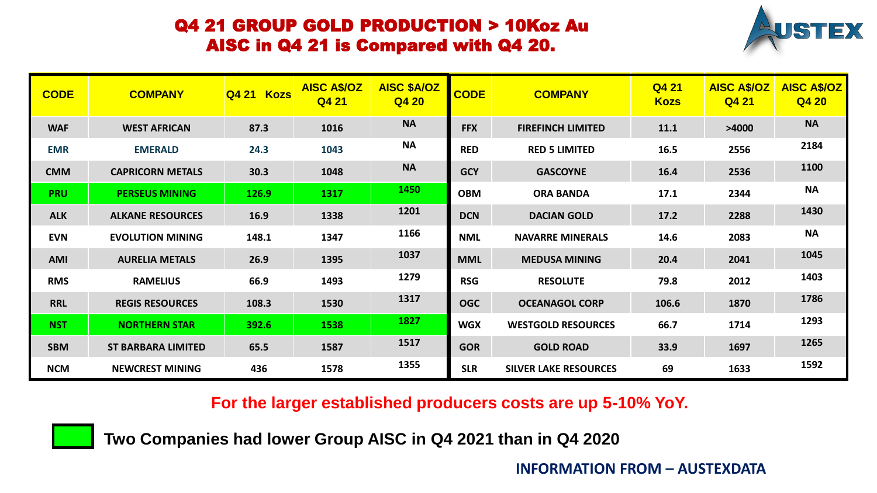## Q4 21 GROUP GOLD PRODUCTION > 10Koz Au AISC in Q4 21 is Compared with Q4 20.



| <b>CODE</b> | <b>COMPANY</b>            | Q4 21 Kozs | <b>AISC A\$/OZ</b><br>Q4 21 | <b>AISC \$A/OZ</b><br>Q4 20 | <b>CODE</b> | <b>COMPANY</b>               | Q4 21<br><b>Kozs</b> | <b>AISC A\$/OZ</b><br>Q4 21 | <b>AISC A\$/OZ</b><br>Q4 20 |
|-------------|---------------------------|------------|-----------------------------|-----------------------------|-------------|------------------------------|----------------------|-----------------------------|-----------------------------|
| <b>WAF</b>  | <b>WEST AFRICAN</b>       | 87.3       | 1016                        | <b>NA</b>                   | <b>FFX</b>  | <b>FIREFINCH LIMITED</b>     | 11.1                 | >4000                       | <b>NA</b>                   |
| <b>EMR</b>  | <b>EMERALD</b>            | 24.3       | 1043                        | <b>NA</b>                   | <b>RED</b>  | <b>RED 5 LIMITED</b>         | 16.5                 | 2556                        | 2184                        |
| <b>CMM</b>  | <b>CAPRICORN METALS</b>   | 30.3       | 1048                        | <b>NA</b>                   | <b>GCY</b>  | <b>GASCOYNE</b>              | 16.4                 | 2536                        | 1100                        |
| <b>PRU</b>  | <b>PERSEUS MINING</b>     | 126.9      | 1317                        | 1450                        | <b>OBM</b>  | <b>ORA BANDA</b>             | 17.1                 | 2344                        | <b>NA</b>                   |
| <b>ALK</b>  | <b>ALKANE RESOURCES</b>   | 16.9       | 1338                        | 1201                        | <b>DCN</b>  | <b>DACIAN GOLD</b>           | 17.2                 | 2288                        | 1430                        |
| <b>EVN</b>  | <b>EVOLUTION MINING</b>   | 148.1      | 1347                        | 1166                        | <b>NML</b>  | <b>NAVARRE MINERALS</b>      | 14.6                 | 2083                        | <b>NA</b>                   |
| <b>AMI</b>  | <b>AURELIA METALS</b>     | 26.9       | 1395                        | 1037                        | <b>MML</b>  | <b>MEDUSA MINING</b>         | 20.4                 | 2041                        | 1045                        |
| <b>RMS</b>  | <b>RAMELIUS</b>           | 66.9       | 1493                        | 1279                        | <b>RSG</b>  | <b>RESOLUTE</b>              | 79.8                 | 2012                        | 1403                        |
| <b>RRL</b>  | <b>REGIS RESOURCES</b>    | 108.3      | 1530                        | 1317                        | <b>OGC</b>  | <b>OCEANAGOL CORP</b>        | 106.6                | 1870                        | 1786                        |
| <b>NST</b>  | <b>NORTHERN STAR</b>      | 392.6      | 1538                        | 1827                        | <b>WGX</b>  | <b>WESTGOLD RESOURCES</b>    | 66.7                 | 1714                        | 1293                        |
| <b>SBM</b>  | <b>ST BARBARA LIMITED</b> | 65.5       | 1587                        | 1517                        | <b>GOR</b>  | <b>GOLD ROAD</b>             | 33.9                 | 1697                        | 1265                        |
| <b>NCM</b>  | <b>NEWCREST MINING</b>    | 436        | 1578                        | 1355                        | <b>SLR</b>  | <b>SILVER LAKE RESOURCES</b> | 69                   | 1633                        | 1592                        |

**For the larger established producers costs are up 5-10% YoY.** 

**Two Companies had lower Group AISC in Q4 2021 than in Q4 2020**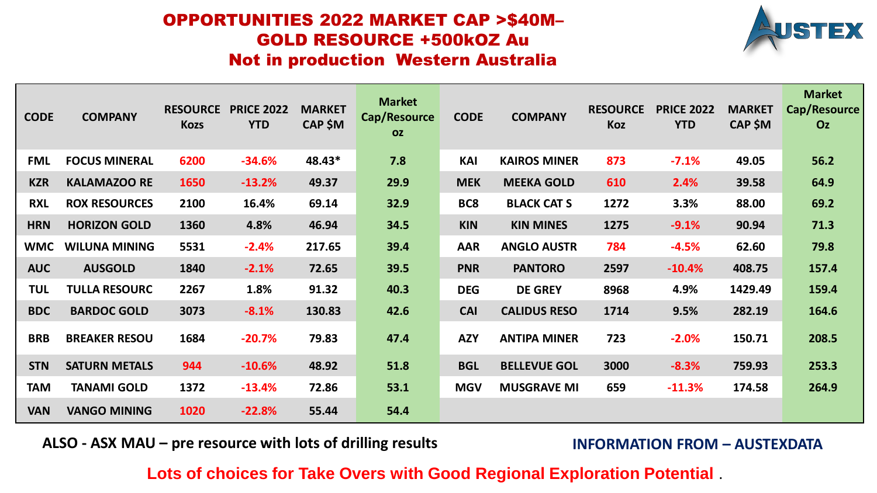## OPPORTUNITIES 2022 MARKET CAP >\$40M– GOLD RESOURCE +500kOZ Au Not in production Western Australia



| <b>CODE</b> | <b>COMPANY</b>       | <b>RESOURCE</b><br><b>Kozs</b> | <b>PRICE 2022</b><br><b>YTD</b> | <b>MARKET</b><br><b>CAP \$M</b> | <b>Market</b><br>Cap/Resource<br><b>OZ</b> | <b>CODE</b>     | <b>COMPANY</b>      | <b>RESOURCE</b><br>Koz | <b>PRICE 2022</b><br><b>YTD</b> | <b>MARKET</b><br><b>CAP \$M</b> | <b>Market</b><br>Cap/Resource<br>Oz |
|-------------|----------------------|--------------------------------|---------------------------------|---------------------------------|--------------------------------------------|-----------------|---------------------|------------------------|---------------------------------|---------------------------------|-------------------------------------|
| <b>FML</b>  | <b>FOCUS MINERAL</b> | 6200                           | $-34.6%$                        | 48.43*                          | 7.8                                        | <b>KAI</b>      | <b>KAIROS MINER</b> | 873                    | $-7.1%$                         | 49.05                           | 56.2                                |
| <b>KZR</b>  | <b>KALAMAZOO RE</b>  | 1650                           | $-13.2%$                        | 49.37                           | 29.9                                       | <b>MEK</b>      | <b>MEEKA GOLD</b>   | 610                    | 2.4%                            | 39.58                           | 64.9                                |
| <b>RXL</b>  | <b>ROX RESOURCES</b> | 2100                           | 16.4%                           | 69.14                           | 32.9                                       | BC <sub>8</sub> | <b>BLACK CAT S</b>  | 1272                   | 3.3%                            | 88.00                           | 69.2                                |
| <b>HRN</b>  | <b>HORIZON GOLD</b>  | 1360                           | 4.8%                            | 46.94                           | 34.5                                       | <b>KIN</b>      | <b>KIN MINES</b>    | 1275                   | $-9.1%$                         | 90.94                           | 71.3                                |
| <b>WMC</b>  | <b>WILUNA MINING</b> | 5531                           | $-2.4%$                         | 217.65                          | 39.4                                       | <b>AAR</b>      | <b>ANGLO AUSTR</b>  | 784                    | $-4.5%$                         | 62.60                           | 79.8                                |
| <b>AUC</b>  | <b>AUSGOLD</b>       | 1840                           | $-2.1%$                         | 72.65                           | 39.5                                       | <b>PNR</b>      | <b>PANTORO</b>      | 2597                   | $-10.4%$                        | 408.75                          | 157.4                               |
| <b>TUL</b>  | <b>TULLA RESOURC</b> | 2267                           | 1.8%                            | 91.32                           | 40.3                                       | <b>DEG</b>      | <b>DE GREY</b>      | 8968                   | 4.9%                            | 1429.49                         | 159.4                               |
| <b>BDC</b>  | <b>BARDOC GOLD</b>   | 3073                           | $-8.1%$                         | 130.83                          | 42.6                                       | <b>CAI</b>      | <b>CALIDUS RESO</b> | 1714                   | 9.5%                            | 282.19                          | 164.6                               |
| <b>BRB</b>  | <b>BREAKER RESOU</b> | 1684                           | $-20.7%$                        | 79.83                           | 47.4                                       | <b>AZY</b>      | <b>ANTIPA MINER</b> | 723                    | $-2.0%$                         | 150.71                          | 208.5                               |
| <b>STN</b>  | <b>SATURN METALS</b> | 944                            | $-10.6%$                        | 48.92                           | 51.8                                       | <b>BGL</b>      | <b>BELLEVUE GOL</b> | 3000                   | $-8.3%$                         | 759.93                          | 253.3                               |
| <b>TAM</b>  | <b>TANAMI GOLD</b>   | 1372                           | $-13.4%$                        | 72.86                           | 53.1                                       | <b>MGV</b>      | <b>MUSGRAVE MI</b>  | 659                    | $-11.3%$                        | 174.58                          | 264.9                               |
| <b>VAN</b>  | <b>VANGO MINING</b>  | 1020                           | $-22.8%$                        | 55.44                           | 54.4                                       |                 |                     |                        |                                 |                                 |                                     |

**ALSO - ASX MAU – pre resource with lots of drilling results INFORMATION FROM – AUSTEXDATA** 

## **Lots of choices for Take Overs with Good Regional Exploration Potential** .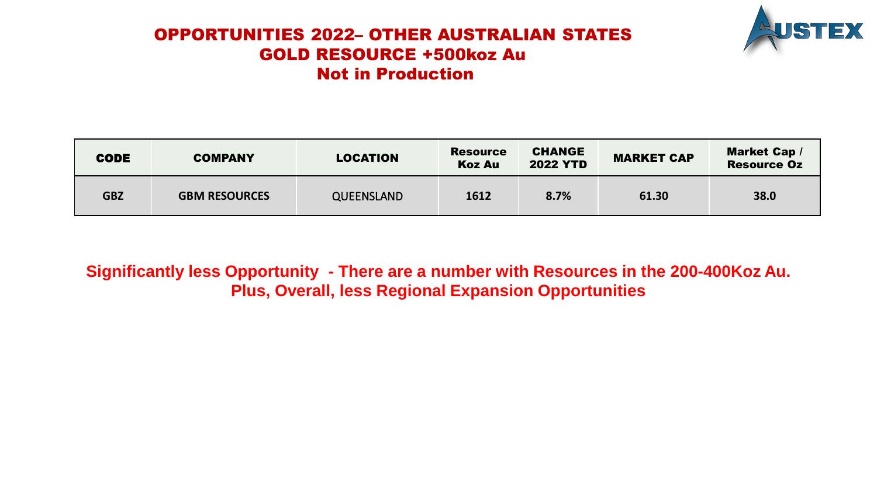## OPPORTUNITIES 2022– OTHER AUSTRALIAN STATES GOLD RESOURCE +500koz Au Not in Production



| <b>CODE</b> | <b>LOCATION</b><br><b>COMPANY</b> |                   | <b>CHANGE</b><br><b>Resource</b><br><b>2022 YTD</b><br><b>Koz Au</b> |      | <b>Market Cap/</b><br><b>MARKET CAP</b><br><b>Resource Oz</b> |      |
|-------------|-----------------------------------|-------------------|----------------------------------------------------------------------|------|---------------------------------------------------------------|------|
| <b>GBZ</b>  | <b>GBM RESOURCES</b>              | <b>QUEENSLAND</b> | 1612                                                                 | 8.7% | 61.30                                                         | 38.0 |

**Significantly less Opportunity - There are a number with Resources in the 200-400Koz Au. Plus, Overall, less Regional Expansion Opportunities**